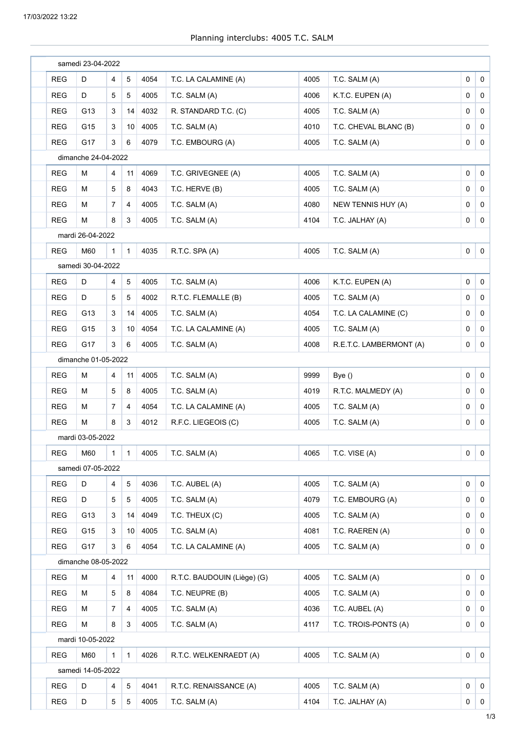|            | samedi 23-04-2022   |                |                 |          |                             |      |                         |              |                 |
|------------|---------------------|----------------|-----------------|----------|-----------------------------|------|-------------------------|--------------|-----------------|
| <b>REG</b> | D                   | 4              | 5               | 4054     | T.C. LA CALAMINE (A)        | 4005 | T.C. SALM (A)           | 0            | 0               |
| <b>REG</b> | D                   | 5              | 5               | 4005     | T.C. SALM (A)               | 4006 | K.T.C. EUPEN (A)        | 0            | 0               |
| <b>REG</b> | G13                 | 3              | 14              | 4032     | R. STANDARD T.C. (C)        | 4005 | T.C. SALM (A)           | 0            | 0               |
| <b>REG</b> | G15                 | 3              | 10              | 4005     | T.C. SALM (A)               | 4010 | T.C. CHEVAL BLANC (B)   | 0            | 0               |
| <b>REG</b> | G17                 | 3              | 6               | 4079     | T.C. EMBOURG (A)            | 4005 | T.C. SALM (A)           | 0            | 0               |
|            | dimanche 24-04-2022 |                |                 |          |                             |      |                         |              |                 |
| <b>REG</b> | М                   | 4              | 11              | 4069     | T.C. GRIVEGNEE (A)          | 4005 | T.C. SALM (A)           | 0            | 0               |
| <b>REG</b> | м                   | 5              | 8               | 4043     | T.C. HERVE (B)              | 4005 | T.C. SALM (A)           | 0            | $\mathbf 0$     |
| <b>REG</b> | М                   | 7              | 4               | 4005     | T.C. SALM (A)               | 4080 | NEW TENNIS HUY (A)      | 0            | $\mathbf 0$     |
| <b>REG</b> | М                   | 8              | 3               | 4005     | T.C. SALM (A)               | 4104 | T.C. JALHAY (A)         | 0            | 0               |
|            | mardi 26-04-2022    |                |                 |          |                             |      |                         |              |                 |
| <b>REG</b> | M60                 | $\mathbf{1}$   | $\mathbf{1}$    | 4035     | R.T.C. SPA (A)              | 4005 | T.C. SALM (A)           | 0            | $\mathbf 0$     |
|            | samedi 30-04-2022   |                |                 |          |                             |      |                         |              |                 |
| <b>REG</b> | D                   | 4              | 5               | 4005     | T.C. SALM (A)               | 4006 | K.T.C. EUPEN (A)        | 0            | $\mathbf 0$     |
| <b>REG</b> | D                   | 5              | 5               | 4002     | R.T.C. FLEMALLE (B)         | 4005 | T.C. SALM (A)           | 0            | 0               |
| <b>REG</b> | G13                 | 3              | 14              | 4005     | T.C. SALM (A)               | 4054 | T.C. LA CALAMINE (C)    | 0            | 0               |
| <b>REG</b> | G15                 | 3              | 10              | 4054     | T.C. LA CALAMINE (A)        | 4005 | T.C. SALM (A)           | 0            | 0               |
| <b>REG</b> | G17                 | 3              | 6               | 4005     | T.C. SALM (A)               | 4008 | R.E.T.C. LAMBERMONT (A) | 0            | 0               |
|            | dimanche 01-05-2022 |                |                 |          |                             |      |                         |              |                 |
| <b>REG</b> | М                   | 4              | 11              | 4005     | T.C. SALM (A)               | 9999 | Bye()                   | 0            | $\mathbf 0$     |
| <b>REG</b> | Μ                   | 5              | 8               | 4005     | T.C. SALM (A)               | 4019 | R.T.C. MALMEDY (A)      | 0            | $\mathbf 0$     |
| <b>REG</b> | Μ                   | $\overline{7}$ | 4               | 4054     | T.C. LA CALAMINE (A)        | 4005 | T.C. SALM (A)           | 0            | $\mathbf 0$     |
| <b>REG</b> | М                   | 8              | 3               | 4012     | R.F.C. LIEGEOIS (C)         | 4005 | T.C. SALM (A)           | 0            | $\mathbf 0$     |
|            | mardi 03-05-2022    |                |                 |          |                             |      |                         |              |                 |
| REG        | M60                 | $\mathbf{1}$   |                 | 1   4005 | T.C. SALM (A)               | 4065 | T.C. VISE (A)           | $\mathbf{0}$ | $\vert 0 \vert$ |
|            | samedi 07-05-2022   |                |                 |          |                             |      |                         |              |                 |
| <b>REG</b> | D                   | $\overline{4}$ | $\overline{5}$  | 4036     | T.C. AUBEL (A)              | 4005 | T.C. SALM (A)           | 0            | $\mathbf 0$     |
| <b>REG</b> | D                   | 5              | 5               | 4005     | T.C. SALM (A)               | 4079 | T.C. EMBOURG (A)        | 0            | $\mathbf 0$     |
| <b>REG</b> | G13                 | 3              | 14              | 4049     | T.C. THEUX (C)              | 4005 | T.C. SALM (A)           | 0            | $\mathbf 0$     |
| <b>REG</b> | G15                 | 3              | 10 <sup>1</sup> | 4005     | T.C. SALM (A)               | 4081 | T.C. RAEREN (A)         | 0            | $\mathbf 0$     |
| <b>REG</b> | G17                 | 3              | 6               | 4054     | T.C. LA CALAMINE (A)        | 4005 | T.C. SALM (A)           | 0            | 0               |
|            | dimanche 08-05-2022 |                |                 |          |                             |      |                         |              |                 |
| <b>REG</b> | М                   | 4              | 11              | 4000     | R.T.C. BAUDOUIN (Liège) (G) | 4005 | T.C. SALM (A)           | 0            | $\mathbf 0$     |
| <b>REG</b> | м                   | 5              | 8               | 4084     | T.C. NEUPRE (B)             | 4005 | T.C. SALM (A)           | 0            | 0               |
| <b>REG</b> | М                   | $\overline{7}$ | 4               | 4005     | T.C. SALM (A)               | 4036 | T.C. AUBEL (A)          | 0            | 0               |
| <b>REG</b> | М                   | 8              | 3               | 4005     | T.C. SALM (A)               | 4117 | T.C. TROIS-PONTS (A)    | 0            | 0               |
|            | mardi 10-05-2022    |                |                 |          |                             |      |                         |              |                 |
| <b>REG</b> | M60                 | $\mathbf{1}$   | $\mathbf{1}$    | 4026     | R.T.C. WELKENRAEDT (A)      | 4005 | T.C. SALM (A)           | 0            | $\mathbf 0$     |
|            | samedi 14-05-2022   |                |                 |          |                             |      |                         |              |                 |
| <b>REG</b> | D                   | 4              | $\overline{5}$  | 4041     | R.T.C. RENAISSANCE (A)      | 4005 | T.C. SALM (A)           | 0            | $\mathbf 0$     |
| <b>REG</b> | D                   | 5              | 5               | 4005     | T.C. SALM (A)               | 4104 | T.C. JALHAY (A)         | 0            | $\mathbf 0$     |
|            |                     |                |                 |          |                             |      |                         |              |                 |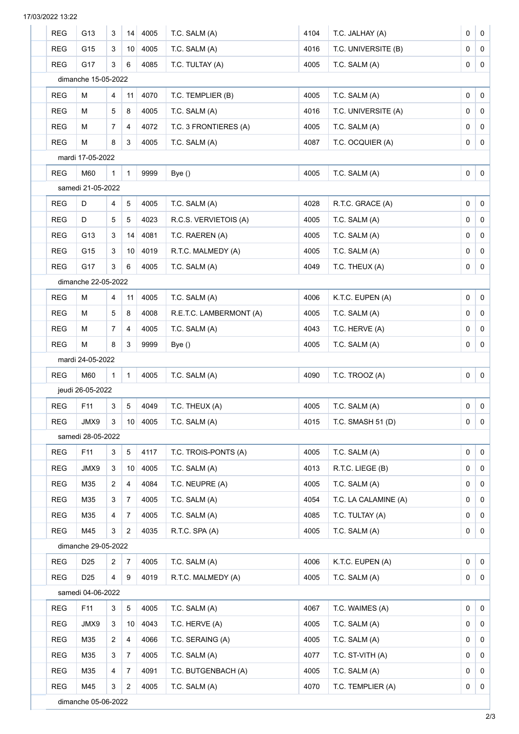| <b>REG</b> | G13                 | 3              | 14              | 4005 | T.C. SALM (A)           | 4104 | T.C. JALHAY (A)      | 0 | $\mathbf 0$ |
|------------|---------------------|----------------|-----------------|------|-------------------------|------|----------------------|---|-------------|
| <b>REG</b> | G15                 | 3              | 10              | 4005 | T.C. SALM (A)           | 4016 | T.C. UNIVERSITE (B)  | 0 | $\mathbf 0$ |
| <b>REG</b> | G17                 | 3              | 6               | 4085 | T.C. TULTAY (A)         | 4005 | T.C. SALM (A)        | 0 | $\mathbf 0$ |
|            | dimanche 15-05-2022 |                |                 |      |                         |      |                      |   |             |
| <b>REG</b> | M                   | 4              | 11              | 4070 | T.C. TEMPLIER (B)       | 4005 | T.C. SALM (A)        | 0 | $\mathbf 0$ |
| <b>REG</b> | М                   | 5              | 8               | 4005 | T.C. SALM (A)           | 4016 | T.C. UNIVERSITE (A)  | 0 | $\mathbf 0$ |
| <b>REG</b> | M                   | $\overline{7}$ | 4               | 4072 | T.C. 3 FRONTIERES (A)   | 4005 | T.C. SALM (A)        | 0 | $\mathbf 0$ |
| <b>REG</b> | M                   | 8              | 3               | 4005 | T.C. SALM (A)           | 4087 | T.C. OCQUIER (A)     | 0 | $\mathbf 0$ |
|            | mardi 17-05-2022    |                |                 |      |                         |      |                      |   |             |
| <b>REG</b> | M60                 | $\mathbf{1}$   | $\mathbf{1}$    | 9999 | Bye()                   | 4005 | T.C. SALM (A)        | 0 | $\mathbf 0$ |
|            | samedi 21-05-2022   |                |                 |      |                         |      |                      |   |             |
| <b>REG</b> | D                   | 4              | 5               | 4005 | T.C. SALM (A)           | 4028 | R.T.C. GRACE (A)     | 0 | $\mathbf 0$ |
| <b>REG</b> | D                   | 5              | 5               | 4023 | R.C.S. VERVIETOIS (A)   | 4005 | T.C. SALM (A)        | 0 | $\mathbf 0$ |
| <b>REG</b> | G13                 | 3              | 14              | 4081 | T.C. RAEREN (A)         | 4005 | T.C. SALM (A)        | 0 | 0           |
| <b>REG</b> | G15                 | 3              | 10 <sup>1</sup> | 4019 | R.T.C. MALMEDY (A)      | 4005 | T.C. SALM (A)        | 0 | $\mathbf 0$ |
| <b>REG</b> | G17                 | 3              | 6               | 4005 | T.C. SALM (A)           | 4049 | T.C. THEUX (A)       | 0 | 0           |
|            | dimanche 22-05-2022 |                |                 |      |                         |      |                      |   |             |
| <b>REG</b> | M                   | 4              | 11              | 4005 | T.C. SALM (A)           | 4006 | K.T.C. EUPEN (A)     | 0 | $\mathbf 0$ |
| <b>REG</b> | м                   | 5              | 8               | 4008 | R.E.T.C. LAMBERMONT (A) | 4005 | T.C. SALM (A)        | 0 | $\mathbf 0$ |
| <b>REG</b> | м                   | $\overline{7}$ | 4               | 4005 | T.C. SALM (A)           | 4043 | T.C. HERVE (A)       | 0 | 0           |
| <b>REG</b> | M                   | 8              | 3               | 9999 | Bye()                   | 4005 | T.C. SALM (A)        | 0 | $\mathbf 0$ |
|            | mardi 24-05-2022    |                |                 |      |                         |      |                      |   |             |
| <b>REG</b> | M60                 | $\mathbf{1}$   | $\mathbf{1}$    | 4005 | T.C. SALM (A)           | 4090 | T.C. TROOZ (A)       | 0 | $\mathbf 0$ |
|            | jeudi 26-05-2022    |                |                 |      |                         |      |                      |   |             |
| <b>REG</b> | F11                 | 3              | 5               | 4049 | T.C. THEUX (A)          | 4005 | T.C. SALM (A)        | 0 | $\mathbf 0$ |
| <b>REG</b> | JMX9                | 3              | 10              | 4005 | T.C. SALM (A)           | 4015 | T.C. SMASH 51 (D)    | 0 | $\mathbf 0$ |
|            | samedi 28-05-2022   |                |                 |      |                         |      |                      |   |             |
| <b>REG</b> | F11                 | 3              | $\mathbf 5$     | 4117 | T.C. TROIS-PONTS (A)    | 4005 | T.C. SALM (A)        | 0 | $\mathbf 0$ |
| <b>REG</b> | JMX9                | 3              | 10 <sup>1</sup> | 4005 | T.C. SALM (A)           | 4013 | R.T.C. LIEGE (B)     | 0 | 0           |
| <b>REG</b> | M35                 | $\overline{2}$ | 4               | 4084 | T.C. NEUPRE (A)         | 4005 | T.C. SALM (A)        | 0 | 0           |
| <b>REG</b> | M35                 | 3              | 7               | 4005 | T.C. SALM (A)           | 4054 | T.C. LA CALAMINE (A) | 0 | 0           |
| <b>REG</b> | M35                 | 4              | 7               | 4005 | T.C. SALM (A)           | 4085 | T.C. TULTAY (A)      | 0 | 0           |
| <b>REG</b> | M45                 | 3              | 2               | 4035 | R.T.C. SPA (A)          | 4005 | T.C. SALM (A)        | 0 | 0           |
|            | dimanche 29-05-2022 |                |                 |      |                         |      |                      |   |             |
| <b>REG</b> | D <sub>25</sub>     | $\overline{2}$ | 7               | 4005 | T.C. SALM (A)           | 4006 | K.T.C. EUPEN (A)     | 0 | $\mathbf 0$ |
| <b>REG</b> | D25                 | 4              | 9               | 4019 | R.T.C. MALMEDY (A)      | 4005 | T.C. SALM (A)        | 0 | 0           |
|            | samedi 04-06-2022   |                |                 |      |                         |      |                      |   |             |
| <b>REG</b> | F11                 | 3              | 5               | 4005 | T.C. SALM (A)           | 4067 | T.C. WAIMES (A)      | 0 | $\mathbf 0$ |
| <b>REG</b> | JMX9                | 3              | 10              | 4043 | T.C. HERVE (A)          | 4005 | T.C. SALM (A)        | 0 | $\mathbf 0$ |
| <b>REG</b> | M35                 | $\overline{2}$ | 4               | 4066 | T.C. SERAING (A)        | 4005 | T.C. SALM (A)        | 0 | $\mathbf 0$ |
| <b>REG</b> | M35                 | 3              | 7               | 4005 | T.C. SALM (A)           | 4077 | T.C. ST-VITH (A)     | 0 | $\mathbf 0$ |
| <b>REG</b> | M35                 | 4              | $\overline{7}$  | 4091 | T.C. BUTGENBACH (A)     | 4005 | T.C. SALM (A)        | 0 | $\mathbf 0$ |
| <b>REG</b> | M45                 | 3              | 2               | 4005 | T.C. SALM (A)           | 4070 | T.C. TEMPLIER (A)    | 0 | $\mathbf 0$ |
|            | dimanche 05-06-2022 |                |                 |      |                         |      |                      |   |             |

17/03/2022 13:22